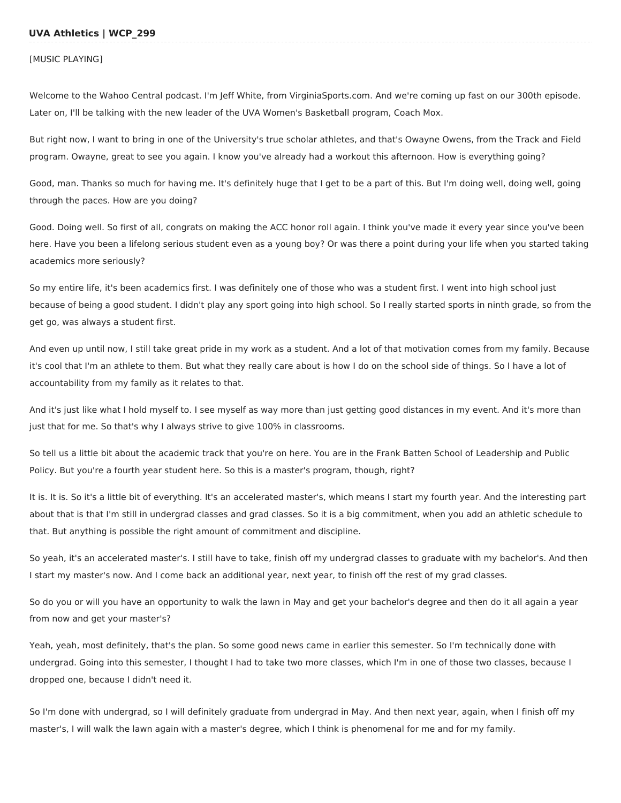### **UVA Athletics | WCP\_299**

#### [MUSIC PLAYING]

Welcome to the Wahoo Central podcast. I'm Jeff White, from VirginiaSports.com. And we're coming up fast on our 300th episode. Later on, I'll be talking with the new leader of the UVA Women's Basketball program, Coach Mox.

But right now, I want to bring in one of the University's true scholar athletes, and that's Owayne Owens, from the Track and Field program. Owayne, great to see you again. I know you've already had a workout this afternoon. How is everything going?

Good, man. Thanks so much for having me. It's definitely huge that I get to be a part of this. But I'm doing well, doing well, going through the paces. How are you doing?

Good. Doing well. So first of all, congrats on making the ACC honor roll again. I think you've made it every year since you've been here. Have you been a lifelong serious student even as a young boy? Or was there a point during your life when you started taking academics more seriously?

So my entire life, it's been academics first. I was definitely one of those who was a student first. I went into high school just because of being a good student. I didn't play any sport going into high school. So I really started sports in ninth grade, so from the get go, was always a student first.

And even up until now, I still take great pride in my work as a student. And a lot of that motivation comes from my family. Because it's cool that I'm an athlete to them. But what they really care about is how I do on the school side of things. So I have a lot of accountability from my family as it relates to that.

And it's just like what I hold myself to. I see myself as way more than just getting good distances in my event. And it's more than just that for me. So that's why I always strive to give 100% in classrooms.

So tell us a little bit about the academic track that you're on here. You are in the Frank Batten School of Leadership and Public Policy. But you're a fourth year student here. So this is a master's program, though, right?

It is. It is. So it's a little bit of everything. It's an accelerated master's, which means I start my fourth year. And the interesting part about that is that I'm still in undergrad classes and grad classes. So it is a big commitment, when you add an athletic schedule to that. But anything is possible the right amount of commitment and discipline.

So yeah, it's an accelerated master's. I still have to take, finish off my undergrad classes to graduate with my bachelor's. And then I start my master's now. And I come back an additional year, next year, to finish off the rest of my grad classes.

So do you or will you have an opportunity to walk the lawn in May and get your bachelor's degree and then do it all again a year from now and get your master's?

Yeah, yeah, most definitely, that's the plan. So some good news came in earlier this semester. So I'm technically done with undergrad. Going into this semester, I thought I had to take two more classes, which I'm in one of those two classes, because I dropped one, because I didn't need it.

So I'm done with undergrad, so I will definitely graduate from undergrad in May. And then next year, again, when I finish off my master's, I will walk the lawn again with a master's degree, which I think is phenomenal for me and for my family.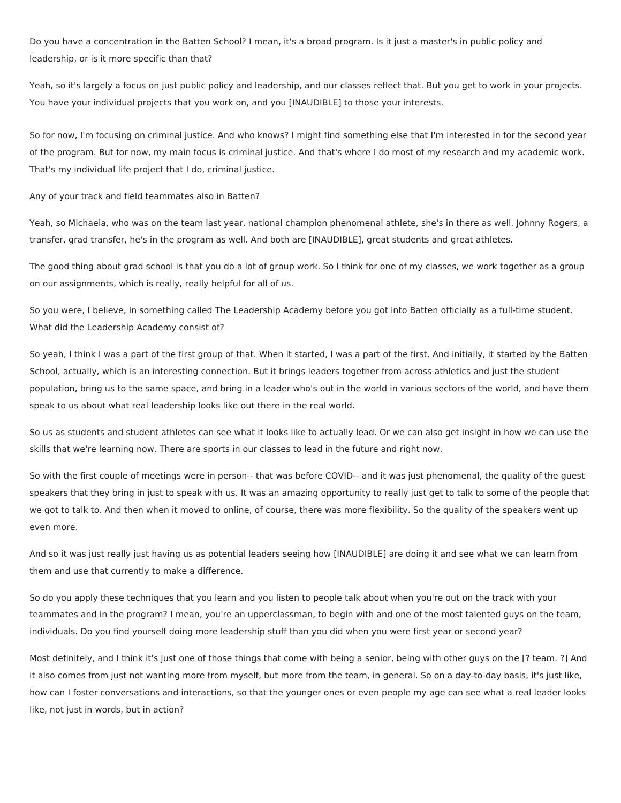Do you have a concentration in the Batten School? I mean, it's a broad program. Is it just a master's in public policy and leadership, or is it more specific than that?

Yeah, so it's largely a focus on just public policy and leadership, and our classes reflect that. But you get to work in your projects. You have your individual projects that you work on, and you [INAUDIBLE] to those your interests.

So for now, I'm focusing on criminal justice. And who knows? I might find something else that I'm interested in for the second year of the program. But for now, my main focus is criminal justice. And that's where I do most of my research and my academic work. That's my individual life project that I do, criminal justice.

Any of your track and field teammates also in Batten?

Yeah, so Michaela, who was on the team last year, national champion phenomenal athlete, she's in there as well. Johnny Rogers, a transfer, grad transfer, he's in the program as well. And both are [INAUDIBLE], great students and great athletes.

The good thing about grad school is that you do a lot of group work. So I think for one of my classes, we work together as a group on our assignments, which is really, really helpful for all of us.

So you were, I believe, in something called The Leadership Academy before you got into Batten officially as a full-time student. What did the Leadership Academy consist of?

So yeah, I think I was a part of the first group of that. When it started, I was a part of the first. And initially, it started by the Batten School, actually, which is an interesting connection. But it brings leaders together from across athletics and just the student population, bring us to the same space, and bring in a leader who's out in the world in various sectors of the world, and have them speak to us about what real leadership looks like out there in the real world.

So us as students and student athletes can see what it looks like to actually lead. Or we can also get insight in how we can use the skills that we're learning now. There are sports in our classes to lead in the future and right now.

So with the first couple of meetings were in person-- that was before COVID-- and it was just phenomenal, the quality of the quest speakers that they bring in just to speak with us. It was an amazing opportunity to really just get to talk to some of the people that we got to talk to. And then when it moved to online, of course, there was more flexibility. So the quality of the speakers went up even more.

And so it was just really just having us as potential leaders seeing how [INAUDIBLE] are doing it and see what we can learn from them and use that currently to make a difference.

So do you apply these techniques that you learn and you listen to people talk about when you're out on the track with your teammates and in the program? I mean, you're an upperclassman, to begin with and one of the most talented guys on the team, individuals. Do you find yourself doing more leadership stuff than you did when you were first year or second year?

Most definitely, and I think it's just one of those things that come with being a senior, being with other guys on the [? team. ?] And it also comes from just not wanting more from myself, but more from the team, in general. So on a day-to-day basis, it's just like, how can I foster conversations and interactions, so that the younger ones or even people my age can see what a real leader looks like, not just in words, but in action?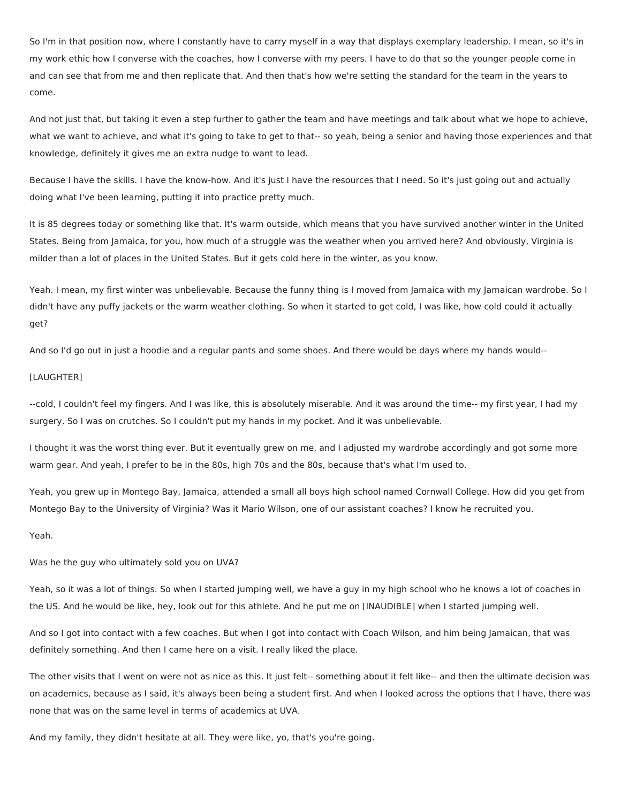So I'm in that position now, where I constantly have to carry myself in a way that displays exemplary leadership. I mean, so it's in my work ethic how I converse with the coaches, how I converse with my peers. I have to do that so the younger people come in and can see that from me and then replicate that. And then that's how we're setting the standard for the team in the years to come.

And not just that, but taking it even a step further to gather the team and have meetings and talk about what we hope to achieve, what we want to achieve, and what it's going to take to get to that-- so yeah, being a senior and having those experiences and that knowledge, definitely it gives me an extra nudge to want to lead.

Because I have the skills. I have the know-how. And it's just I have the resources that I need. So it's just going out and actually doing what I've been learning, putting it into practice pretty much.

It is 85 degrees today or something like that. It's warm outside, which means that you have survived another winter in the United States. Being from Jamaica, for you, how much of a struggle was the weather when you arrived here? And obviously, Virginia is milder than a lot of places in the United States. But it gets cold here in the winter, as you know.

Yeah. I mean, my first winter was unbelievable. Because the funny thing is I moved from Jamaica with my Jamaican wardrobe. So I didn't have any puffy jackets or the warm weather clothing. So when it started to get cold, I was like, how cold could it actually get?

And so I'd go out in just a hoodie and a regular pants and some shoes. And there would be days where my hands would--

#### [LAUGHTER]

--cold, I couldn't feel my fingers. And I was like, this is absolutely miserable. And it was around the time-- my first year, I had my surgery. So I was on crutches. So I couldn't put my hands in my pocket. And it was unbelievable.

I thought it was the worst thing ever. But it eventually grew on me, and I adjusted my wardrobe accordingly and got some more warm gear. And yeah, I prefer to be in the 80s, high 70s and the 80s, because that's what I'm used to.

Yeah, you grew up in Montego Bay, Jamaica, attended a small all boys high school named Cornwall College. How did you get from Montego Bay to the University of Virginia? Was it Mario Wilson, one of our assistant coaches? I know he recruited you.

#### Yeah.

Was he the guy who ultimately sold you on UVA?

Yeah, so it was a lot of things. So when I started jumping well, we have a guy in my high school who he knows a lot of coaches in the US. And he would be like, hey, look out for this athlete. And he put me on [INAUDIBLE] when I started jumping well.

And so I got into contact with a few coaches. But when I got into contact with Coach Wilson, and him being Jamaican, that was definitely something. And then I came here on a visit. I really liked the place.

The other visits that I went on were not as nice as this. It just felt-- something about it felt like-- and then the ultimate decision was on academics, because as I said, it's always been being a student first. And when I looked across the options that I have, there was none that was on the same level in terms of academics at UVA.

And my family, they didn't hesitate at all. They were like, yo, that's you're going.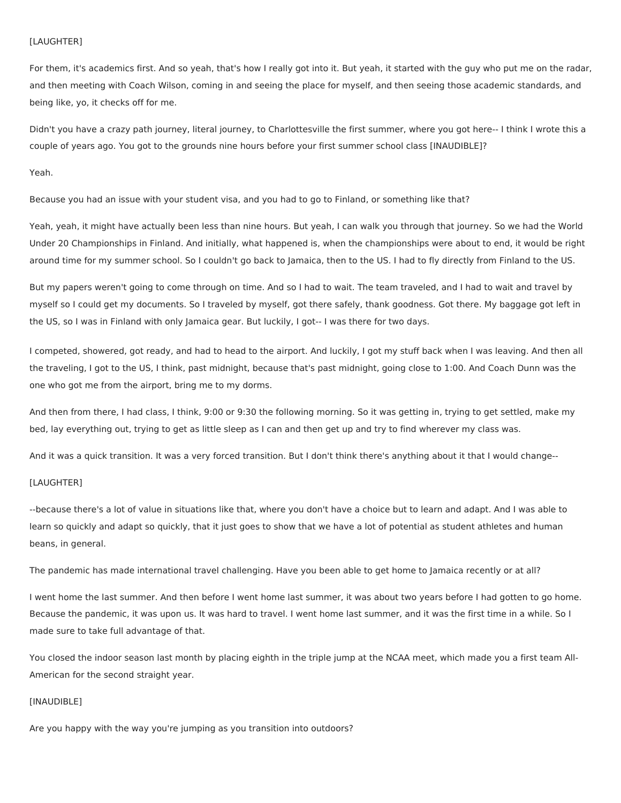### [LAUGHTER]

For them, it's academics first. And so yeah, that's how I really got into it. But yeah, it started with the guy who put me on the radar, and then meeting with Coach Wilson, coming in and seeing the place for myself, and then seeing those academic standards, and being like, yo, it checks off for me.

Didn't you have a crazy path journey, literal journey, to Charlottesville the first summer, where you got here-- I think I wrote this a couple of years ago. You got to the grounds nine hours before your first summer school class [INAUDIBLE]?

Yeah.

Because you had an issue with your student visa, and you had to go to Finland, or something like that?

Yeah, yeah, it might have actually been less than nine hours. But yeah, I can walk you through that journey. So we had the World Under 20 Championships in Finland. And initially, what happened is, when the championships were about to end, it would be right around time for my summer school. So I couldn't go back to Jamaica, then to the US. I had to fly directly from Finland to the US.

But my papers weren't going to come through on time. And so I had to wait. The team traveled, and I had to wait and travel by myself so I could get my documents. So I traveled by myself, got there safely, thank goodness. Got there. My baggage got left in the US, so I was in Finland with only Jamaica gear. But luckily, I got-- I was there for two days.

I competed, showered, got ready, and had to head to the airport. And luckily, I got my stuff back when I was leaving. And then all the traveling, I got to the US, I think, past midnight, because that's past midnight, going close to 1:00. And Coach Dunn was the one who got me from the airport, bring me to my dorms.

And then from there, I had class, I think, 9:00 or 9:30 the following morning. So it was getting in, trying to get settled, make my bed, lay everything out, trying to get as little sleep as I can and then get up and try to find wherever my class was.

And it was a quick transition. It was a very forced transition. But I don't think there's anything about it that I would change--

# [LAUGHTER]

--because there's a lot of value in situations like that, where you don't have a choice but to learn and adapt. And I was able to learn so quickly and adapt so quickly, that it just goes to show that we have a lot of potential as student athletes and human beans, in general.

The pandemic has made international travel challenging. Have you been able to get home to Jamaica recently or at all?

I went home the last summer. And then before I went home last summer, it was about two years before I had gotten to go home. Because the pandemic, it was upon us. It was hard to travel. I went home last summer, and it was the first time in a while. So I made sure to take full advantage of that.

You closed the indoor season last month by placing eighth in the triple jump at the NCAA meet, which made you a first team All-American for the second straight year.

### [INAUDIBLE]

Are you happy with the way you're jumping as you transition into outdoors?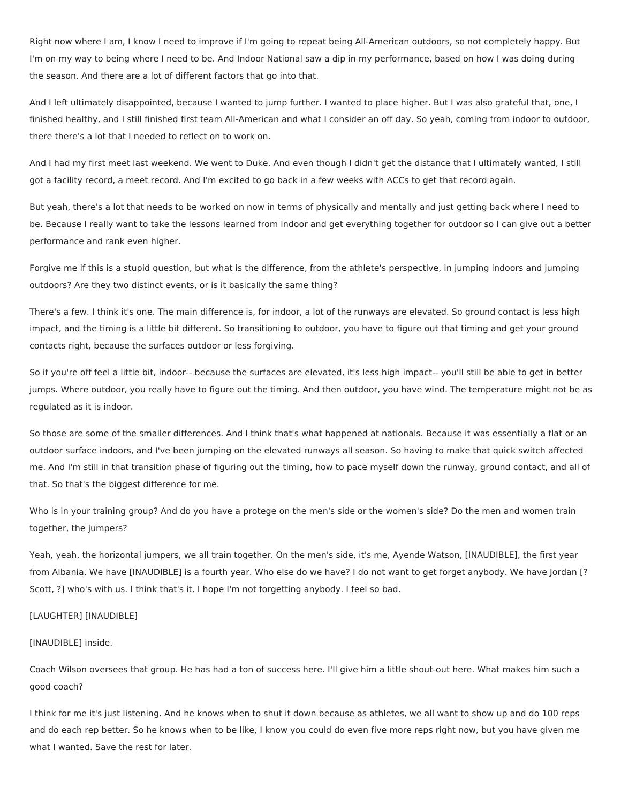Right now where I am, I know I need to improve if I'm going to repeat being All-American outdoors, so not completely happy. But I'm on my way to being where I need to be. And Indoor National saw a dip in my performance, based on how I was doing during the season. And there are a lot of different factors that go into that.

And I left ultimately disappointed, because I wanted to jump further. I wanted to place higher. But I was also grateful that, one, I finished healthy, and I still finished first team All-American and what I consider an off day. So yeah, coming from indoor to outdoor, there there's a lot that I needed to reflect on to work on.

And I had my first meet last weekend. We went to Duke. And even though I didn't get the distance that I ultimately wanted, I still got a facility record, a meet record. And I'm excited to go back in a few weeks with ACCs to get that record again.

But yeah, there's a lot that needs to be worked on now in terms of physically and mentally and just getting back where I need to be. Because I really want to take the lessons learned from indoor and get everything together for outdoor so I can give out a better performance and rank even higher.

Forgive me if this is a stupid question, but what is the difference, from the athlete's perspective, in jumping indoors and jumping outdoors? Are they two distinct events, or is it basically the same thing?

There's a few. I think it's one. The main difference is, for indoor, a lot of the runways are elevated. So ground contact is less high impact, and the timing is a little bit different. So transitioning to outdoor, you have to figure out that timing and get your ground contacts right, because the surfaces outdoor or less forgiving.

So if you're off feel a little bit, indoor-- because the surfaces are elevated, it's less high impact-- you'll still be able to get in better jumps. Where outdoor, you really have to figure out the timing. And then outdoor, you have wind. The temperature might not be as regulated as it is indoor.

So those are some of the smaller differences. And I think that's what happened at nationals. Because it was essentially a flat or an outdoor surface indoors, and I've been jumping on the elevated runways all season. So having to make that quick switch affected me. And I'm still in that transition phase of figuring out the timing, how to pace myself down the runway, ground contact, and all of that. So that's the biggest difference for me.

Who is in your training group? And do you have a protege on the men's side or the women's side? Do the men and women train together, the jumpers?

Yeah, yeah, the horizontal jumpers, we all train together. On the men's side, it's me, Ayende Watson, [INAUDIBLE], the first year from Albania. We have [INAUDIBLE] is a fourth year. Who else do we have? I do not want to get forget anybody. We have Jordan [? Scott, ?] who's with us. I think that's it. I hope I'm not forgetting anybody. I feel so bad.

#### [LAUGHTER] [INAUDIBLE]

### [INAUDIBLE] inside.

Coach Wilson oversees that group. He has had a ton of success here. I'll give him a little shout-out here. What makes him such a good coach?

I think for me it's just listening. And he knows when to shut it down because as athletes, we all want to show up and do 100 reps and do each rep better. So he knows when to be like, I know you could do even five more reps right now, but you have given me what I wanted. Save the rest for later.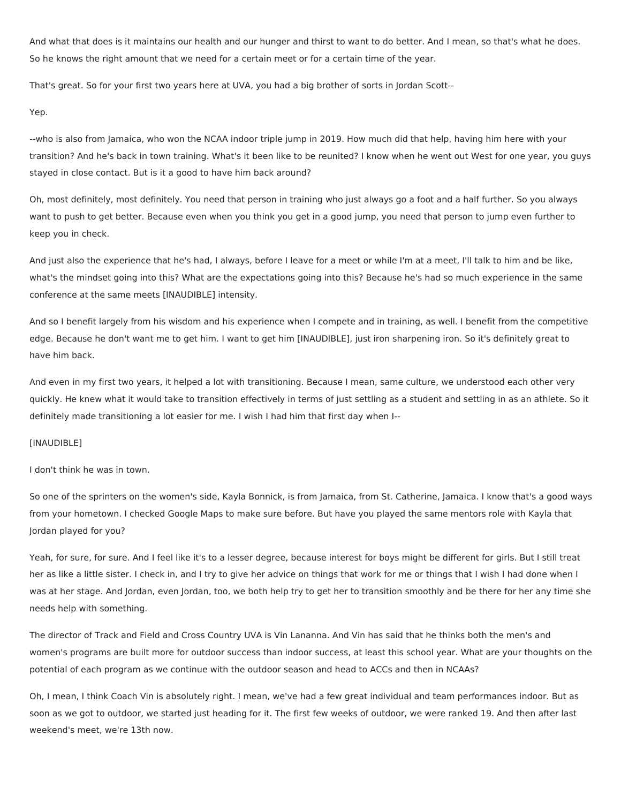And what that does is it maintains our health and our hunger and thirst to want to do better. And I mean, so that's what he does. So he knows the right amount that we need for a certain meet or for a certain time of the year.

That's great. So for your first two years here at UVA, you had a big brother of sorts in Jordan Scott--

Yep.

--who is also from Jamaica, who won the NCAA indoor triple jump in 2019. How much did that help, having him here with your transition? And he's back in town training. What's it been like to be reunited? I know when he went out West for one year, you guys stayed in close contact. But is it a good to have him back around?

Oh, most definitely, most definitely. You need that person in training who just always go a foot and a half further. So you always want to push to get better. Because even when you think you get in a good jump, you need that person to jump even further to keep you in check.

And just also the experience that he's had, I always, before I leave for a meet or while I'm at a meet, I'll talk to him and be like, what's the mindset going into this? What are the expectations going into this? Because he's had so much experience in the same conference at the same meets [INAUDIBLE] intensity.

And so I benefit largely from his wisdom and his experience when I compete and in training, as well. I benefit from the competitive edge. Because he don't want me to get him. I want to get him [INAUDIBLE], just iron sharpening iron. So it's definitely great to have him back.

And even in my first two years, it helped a lot with transitioning. Because I mean, same culture, we understood each other very quickly. He knew what it would take to transition effectively in terms of just settling as a student and settling in as an athlete. So it definitely made transitioning a lot easier for me. I wish I had him that first day when I--

# [INAUDIBLE]

I don't think he was in town.

So one of the sprinters on the women's side, Kayla Bonnick, is from Jamaica, from St. Catherine, Jamaica. I know that's a good ways from your hometown. I checked Google Maps to make sure before. But have you played the same mentors role with Kayla that Jordan played for you?

Yeah, for sure, for sure. And I feel like it's to a lesser degree, because interest for boys might be different for girls. But I still treat her as like a little sister. I check in, and I try to give her advice on things that work for me or things that I wish I had done when I was at her stage. And Jordan, even Jordan, too, we both help try to get her to transition smoothly and be there for her any time she needs help with something.

The director of Track and Field and Cross Country UVA is Vin Lananna. And Vin has said that he thinks both the men's and women's programs are built more for outdoor success than indoor success, at least this school year. What are your thoughts on the potential of each program as we continue with the outdoor season and head to ACCs and then in NCAAs?

Oh, I mean, I think Coach Vin is absolutely right. I mean, we've had a few great individual and team performances indoor. But as soon as we got to outdoor, we started just heading for it. The first few weeks of outdoor, we were ranked 19. And then after last weekend's meet, we're 13th now.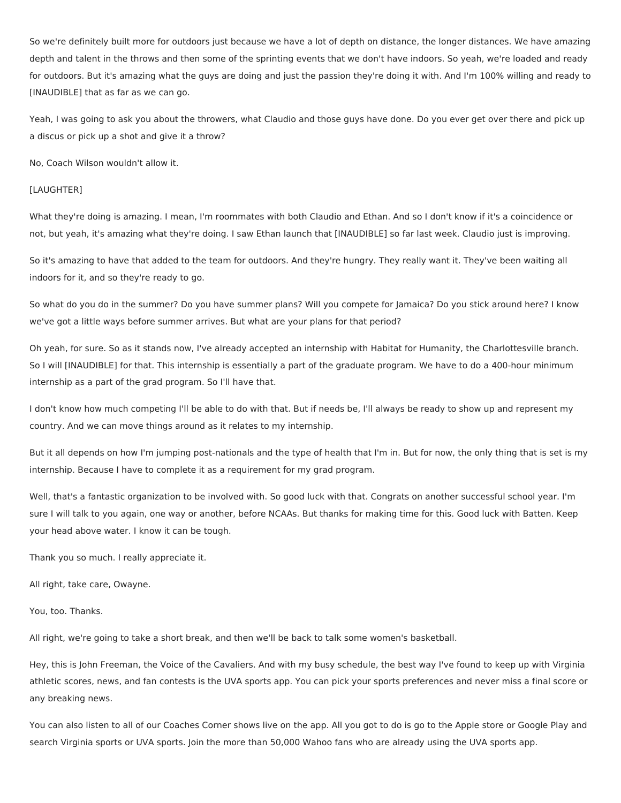So we're definitely built more for outdoors just because we have a lot of depth on distance, the longer distances. We have amazing depth and talent in the throws and then some of the sprinting events that we don't have indoors. So yeah, we're loaded and ready for outdoors. But it's amazing what the guys are doing and just the passion they're doing it with. And I'm 100% willing and ready to [INAUDIBLE] that as far as we can go.

Yeah, I was going to ask you about the throwers, what Claudio and those guys have done. Do you ever get over there and pick up a discus or pick up a shot and give it a throw?

No, Coach Wilson wouldn't allow it.

#### [LAUGHTER]

What they're doing is amazing. I mean, I'm roommates with both Claudio and Ethan. And so I don't know if it's a coincidence or not, but yeah, it's amazing what they're doing. I saw Ethan launch that [INAUDIBLE] so far last week. Claudio just is improving.

So it's amazing to have that added to the team for outdoors. And they're hungry. They really want it. They've been waiting all indoors for it, and so they're ready to go.

So what do you do in the summer? Do you have summer plans? Will you compete for Jamaica? Do you stick around here? I know we've got a little ways before summer arrives. But what are your plans for that period?

Oh yeah, for sure. So as it stands now, I've already accepted an internship with Habitat for Humanity, the Charlottesville branch. So I will [INAUDIBLE] for that. This internship is essentially a part of the graduate program. We have to do a 400-hour minimum internship as a part of the grad program. So I'll have that.

I don't know how much competing I'll be able to do with that. But if needs be, I'll always be ready to show up and represent my country. And we can move things around as it relates to my internship.

But it all depends on how I'm jumping post-nationals and the type of health that I'm in. But for now, the only thing that is set is my internship. Because I have to complete it as a requirement for my grad program.

Well, that's a fantastic organization to be involved with. So good luck with that. Congrats on another successful school year. I'm sure I will talk to you again, one way or another, before NCAAs. But thanks for making time for this. Good luck with Batten. Keep your head above water. I know it can be tough.

Thank you so much. I really appreciate it.

All right, take care, Owayne.

You, too. Thanks.

All right, we're going to take a short break, and then we'll be back to talk some women's basketball.

Hey, this is John Freeman, the Voice of the Cavaliers. And with my busy schedule, the best way I've found to keep up with Virginia athletic scores, news, and fan contests is the UVA sports app. You can pick your sports preferences and never miss a final score or any breaking news.

You can also listen to all of our Coaches Corner shows live on the app. All you got to do is go to the Apple store or Google Play and search Virginia sports or UVA sports. Join the more than 50,000 Wahoo fans who are already using the UVA sports app.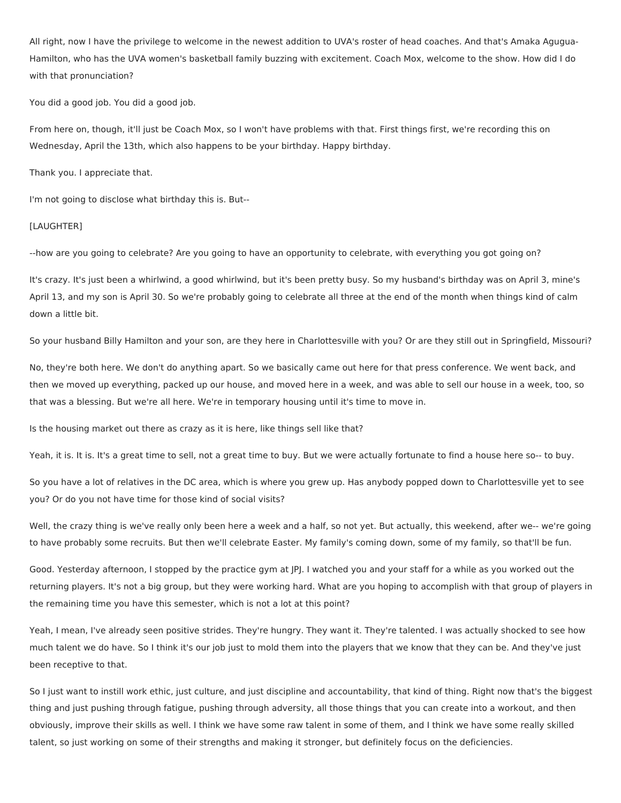All right, now I have the privilege to welcome in the newest addition to UVA's roster of head coaches. And that's Amaka Agugua-Hamilton, who has the UVA women's basketball family buzzing with excitement. Coach Mox, welcome to the show. How did I do with that pronunciation?

You did a good job. You did a good job.

From here on, though, it'll just be Coach Mox, so I won't have problems with that. First things first, we're recording this on Wednesday, April the 13th, which also happens to be your birthday. Happy birthday.

Thank you. I appreciate that.

I'm not going to disclose what birthday this is. But--

#### [LAUGHTER]

--how are you going to celebrate? Are you going to have an opportunity to celebrate, with everything you got going on?

It's crazy. It's just been a whirlwind, a good whirlwind, but it's been pretty busy. So my husband's birthday was on April 3, mine's April 13, and my son is April 30. So we're probably going to celebrate all three at the end of the month when things kind of calm down a little bit.

So your husband Billy Hamilton and your son, are they here in Charlottesville with you? Or are they still out in Springfield, Missouri?

No, they're both here. We don't do anything apart. So we basically came out here for that press conference. We went back, and then we moved up everything, packed up our house, and moved here in a week, and was able to sell our house in a week, too, so that was a blessing. But we're all here. We're in temporary housing until it's time to move in.

Is the housing market out there as crazy as it is here, like things sell like that?

Yeah, it is. It is. It's a great time to sell, not a great time to buy. But we were actually fortunate to find a house here so-- to buy.

So you have a lot of relatives in the DC area, which is where you grew up. Has anybody popped down to Charlottesville yet to see you? Or do you not have time for those kind of social visits?

Well, the crazy thing is we've really only been here a week and a half, so not yet. But actually, this weekend, after we-- we're going to have probably some recruits. But then we'll celebrate Easter. My family's coming down, some of my family, so that'll be fun.

Good. Yesterday afternoon, I stopped by the practice gym at JPJ. I watched you and your staff for a while as you worked out the returning players. It's not a big group, but they were working hard. What are you hoping to accomplish with that group of players in the remaining time you have this semester, which is not a lot at this point?

Yeah, I mean, I've already seen positive strides. They're hungry. They want it. They're talented. I was actually shocked to see how much talent we do have. So I think it's our job just to mold them into the players that we know that they can be. And they've just been receptive to that.

So I just want to instill work ethic, just culture, and just discipline and accountability, that kind of thing. Right now that's the biggest thing and just pushing through fatigue, pushing through adversity, all those things that you can create into a workout, and then obviously, improve their skills as well. I think we have some raw talent in some of them, and I think we have some really skilled talent, so just working on some of their strengths and making it stronger, but definitely focus on the deficiencies.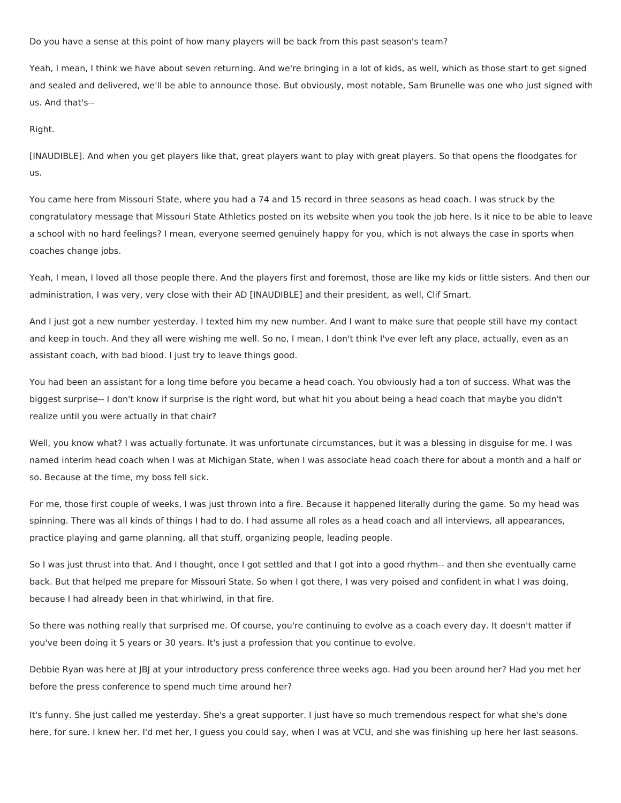Do you have a sense at this point of how many players will be back from this past season's team?

Yeah, I mean, I think we have about seven returning. And we're bringing in a lot of kids, as well, which as those start to get signed and sealed and delivered, we'll be able to announce those. But obviously, most notable, Sam Brunelle was one who just signed with us. And that's--

Right.

[INAUDIBLE]. And when you get players like that, great players want to play with great players. So that opens the floodgates for us.

You came here from Missouri State, where you had a 74 and 15 record in three seasons as head coach. I was struck by the congratulatory message that Missouri State Athletics posted on its website when you took the job here. Is it nice to be able to leave a school with no hard feelings? I mean, everyone seemed genuinely happy for you, which is not always the case in sports when coaches change jobs.

Yeah, I mean, I loved all those people there. And the players first and foremost, those are like my kids or little sisters. And then our administration, I was very, very close with their AD [INAUDIBLE] and their president, as well, Clif Smart.

And I just got a new number yesterday. I texted him my new number. And I want to make sure that people still have my contact and keep in touch. And they all were wishing me well. So no, I mean, I don't think I've ever left any place, actually, even as an assistant coach, with bad blood. I just try to leave things good.

You had been an assistant for a long time before you became a head coach. You obviously had a ton of success. What was the biggest surprise-- I don't know if surprise is the right word, but what hit you about being a head coach that maybe you didn't realize until you were actually in that chair?

Well, you know what? I was actually fortunate. It was unfortunate circumstances, but it was a blessing in disguise for me. I was named interim head coach when I was at Michigan State, when I was associate head coach there for about a month and a half or so. Because at the time, my boss fell sick.

For me, those first couple of weeks, I was just thrown into a fire. Because it happened literally during the game. So my head was spinning. There was all kinds of things I had to do. I had assume all roles as a head coach and all interviews, all appearances, practice playing and game planning, all that stuff, organizing people, leading people.

So I was just thrust into that. And I thought, once I got settled and that I got into a good rhythm-- and then she eventually came back. But that helped me prepare for Missouri State. So when I got there, I was very poised and confident in what I was doing, because I had already been in that whirlwind, in that fire.

So there was nothing really that surprised me. Of course, you're continuing to evolve as a coach every day. It doesn't matter if you've been doing it 5 years or 30 years. It's just a profession that you continue to evolve.

Debbie Ryan was here at JBJ at your introductory press conference three weeks ago. Had you been around her? Had you met her before the press conference to spend much time around her?

It's funny. She just called me yesterday. She's a great supporter. I just have so much tremendous respect for what she's done here, for sure. I knew her. I'd met her, I guess you could say, when I was at VCU, and she was finishing up here her last seasons.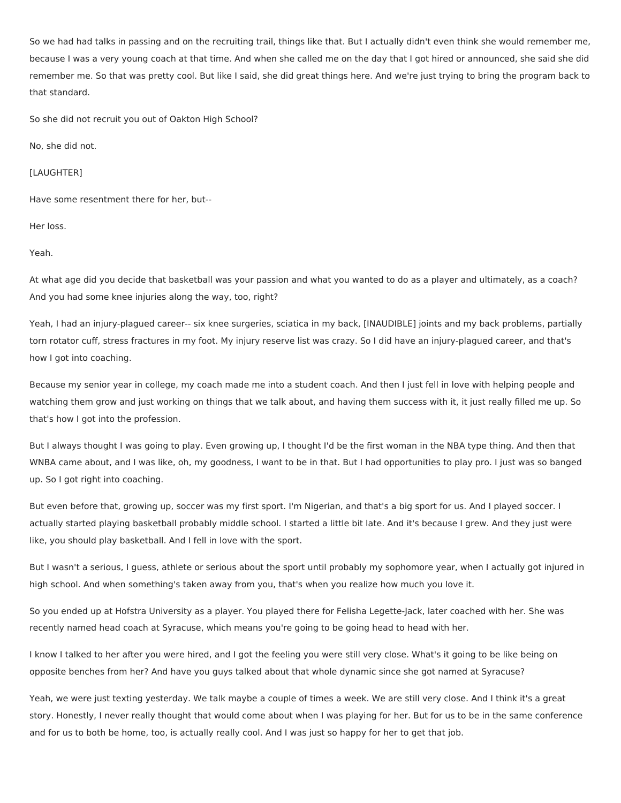So we had had talks in passing and on the recruiting trail, things like that. But I actually didn't even think she would remember me, because I was a very young coach at that time. And when she called me on the day that I got hired or announced, she said she did remember me. So that was pretty cool. But like I said, she did great things here. And we're just trying to bring the program back to that standard.

So she did not recruit you out of Oakton High School?

No, she did not.

[LAUGHTER]

Have some resentment there for her, but--

Her loss.

Yeah.

At what age did you decide that basketball was your passion and what you wanted to do as a player and ultimately, as a coach? And you had some knee injuries along the way, too, right?

Yeah, I had an injury-plagued career-- six knee surgeries, sciatica in my back, [INAUDIBLE] joints and my back problems, partially torn rotator cuff, stress fractures in my foot. My injury reserve list was crazy. So I did have an injury-plagued career, and that's how I got into coaching.

Because my senior year in college, my coach made me into a student coach. And then I just fell in love with helping people and watching them grow and just working on things that we talk about, and having them success with it, it just really filled me up. So that's how I got into the profession.

But I always thought I was going to play. Even growing up, I thought I'd be the first woman in the NBA type thing. And then that WNBA came about, and I was like, oh, my goodness, I want to be in that. But I had opportunities to play pro. I just was so banged up. So I got right into coaching.

But even before that, growing up, soccer was my first sport. I'm Nigerian, and that's a big sport for us. And I played soccer. I actually started playing basketball probably middle school. I started a little bit late. And it's because I grew. And they just were like, you should play basketball. And I fell in love with the sport.

But I wasn't a serious, I guess, athlete or serious about the sport until probably my sophomore year, when I actually got injured in high school. And when something's taken away from you, that's when you realize how much you love it.

So you ended up at Hofstra University as a player. You played there for Felisha Legette-Jack, later coached with her. She was recently named head coach at Syracuse, which means you're going to be going head to head with her.

I know I talked to her after you were hired, and I got the feeling you were still very close. What's it going to be like being on opposite benches from her? And have you guys talked about that whole dynamic since she got named at Syracuse?

Yeah, we were just texting yesterday. We talk maybe a couple of times a week. We are still very close. And I think it's a great story. Honestly, I never really thought that would come about when I was playing for her. But for us to be in the same conference and for us to both be home, too, is actually really cool. And I was just so happy for her to get that job.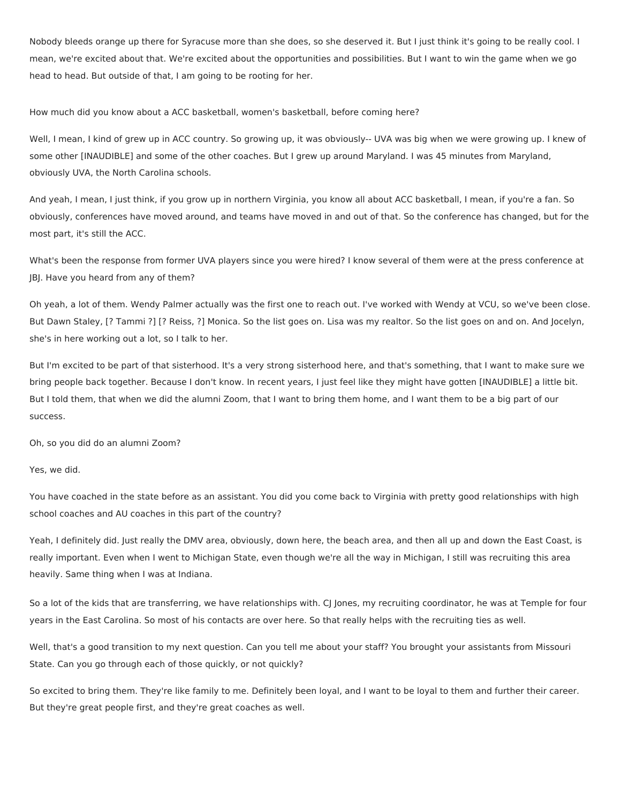Nobody bleeds orange up there for Syracuse more than she does, so she deserved it. But I just think it's going to be really cool. I mean, we're excited about that. We're excited about the opportunities and possibilities. But I want to win the game when we go head to head. But outside of that, I am going to be rooting for her.

How much did you know about a ACC basketball, women's basketball, before coming here?

Well, I mean, I kind of grew up in ACC country. So growing up, it was obviously-- UVA was big when we were growing up. I knew of some other [INAUDIBLE] and some of the other coaches. But I grew up around Maryland. I was 45 minutes from Maryland, obviously UVA, the North Carolina schools.

And yeah, I mean, I just think, if you grow up in northern Virginia, you know all about ACC basketball, I mean, if you're a fan. So obviously, conferences have moved around, and teams have moved in and out of that. So the conference has changed, but for the most part, it's still the ACC.

What's been the response from former UVA players since you were hired? I know several of them were at the press conference at JBJ. Have you heard from any of them?

Oh yeah, a lot of them. Wendy Palmer actually was the first one to reach out. I've worked with Wendy at VCU, so we've been close. But Dawn Staley, [? Tammi ?] [? Reiss, ?] Monica. So the list goes on. Lisa was my realtor. So the list goes on and on. And Jocelyn, she's in here working out a lot, so I talk to her.

But I'm excited to be part of that sisterhood. It's a very strong sisterhood here, and that's something, that I want to make sure we bring people back together. Because I don't know. In recent years, I just feel like they might have gotten [INAUDIBLE] a little bit. But I told them, that when we did the alumni Zoom, that I want to bring them home, and I want them to be a big part of our success.

Oh, so you did do an alumni Zoom?

Yes, we did.

You have coached in the state before as an assistant. You did you come back to Virginia with pretty good relationships with high school coaches and AU coaches in this part of the country?

Yeah, I definitely did. Just really the DMV area, obviously, down here, the beach area, and then all up and down the East Coast, is really important. Even when I went to Michigan State, even though we're all the way in Michigan, I still was recruiting this area heavily. Same thing when I was at Indiana.

So a lot of the kids that are transferring, we have relationships with. CJ Jones, my recruiting coordinator, he was at Temple for four years in the East Carolina. So most of his contacts are over here. So that really helps with the recruiting ties as well.

Well, that's a good transition to my next question. Can you tell me about your staff? You brought your assistants from Missouri State. Can you go through each of those quickly, or not quickly?

So excited to bring them. They're like family to me. Definitely been loyal, and I want to be loyal to them and further their career. But they're great people first, and they're great coaches as well.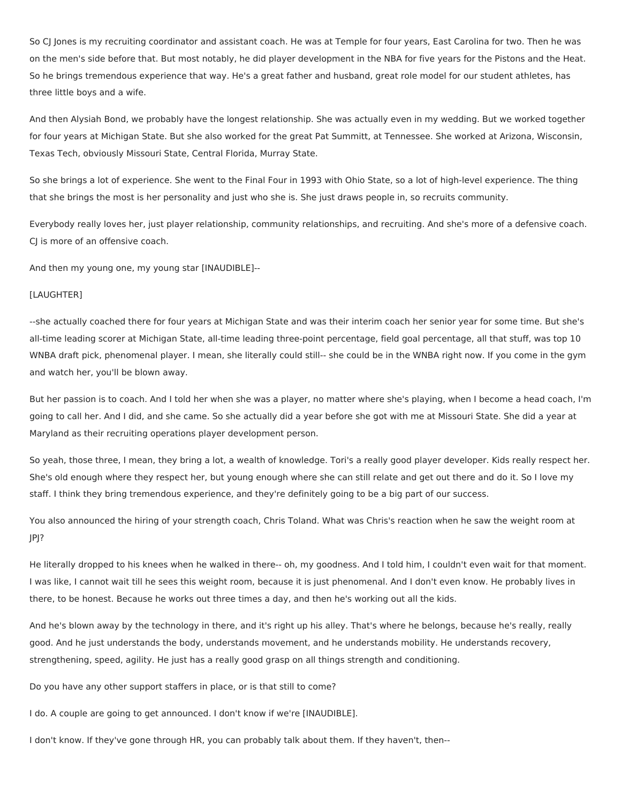So CJ Jones is my recruiting coordinator and assistant coach. He was at Temple for four years, East Carolina for two. Then he was on the men's side before that. But most notably, he did player development in the NBA for five years for the Pistons and the Heat. So he brings tremendous experience that way. He's a great father and husband, great role model for our student athletes, has three little boys and a wife.

And then Alysiah Bond, we probably have the longest relationship. She was actually even in my wedding. But we worked together for four years at Michigan State. But she also worked for the great Pat Summitt, at Tennessee. She worked at Arizona, Wisconsin, Texas Tech, obviously Missouri State, Central Florida, Murray State.

So she brings a lot of experience. She went to the Final Four in 1993 with Ohio State, so a lot of high-level experience. The thing that she brings the most is her personality and just who she is. She just draws people in, so recruits community.

Everybody really loves her, just player relationship, community relationships, and recruiting. And she's more of a defensive coach. CJ is more of an offensive coach.

And then my young one, my young star [INAUDIBLE]--

#### [LAUGHTER]

--she actually coached there for four years at Michigan State and was their interim coach her senior year for some time. But she's all-time leading scorer at Michigan State, all-time leading three-point percentage, field goal percentage, all that stuff, was top 10 WNBA draft pick, phenomenal player. I mean, she literally could still-- she could be in the WNBA right now. If you come in the gym and watch her, you'll be blown away.

But her passion is to coach. And I told her when she was a player, no matter where she's playing, when I become a head coach, I'm going to call her. And I did, and she came. So she actually did a year before she got with me at Missouri State. She did a year at Maryland as their recruiting operations player development person.

So yeah, those three, I mean, they bring a lot, a wealth of knowledge. Tori's a really good player developer. Kids really respect her. She's old enough where they respect her, but young enough where she can still relate and get out there and do it. So I love my staff. I think they bring tremendous experience, and they're definitely going to be a big part of our success.

You also announced the hiring of your strength coach, Chris Toland. What was Chris's reaction when he saw the weight room at JPJ?

He literally dropped to his knees when he walked in there-- oh, my goodness. And I told him, I couldn't even wait for that moment. I was like, I cannot wait till he sees this weight room, because it is just phenomenal. And I don't even know. He probably lives in there, to be honest. Because he works out three times a day, and then he's working out all the kids.

And he's blown away by the technology in there, and it's right up his alley. That's where he belongs, because he's really, really good. And he just understands the body, understands movement, and he understands mobility. He understands recovery, strengthening, speed, agility. He just has a really good grasp on all things strength and conditioning.

Do you have any other support staffers in place, or is that still to come?

I do. A couple are going to get announced. I don't know if we're [INAUDIBLE].

I don't know. If they've gone through HR, you can probably talk about them. If they haven't, then--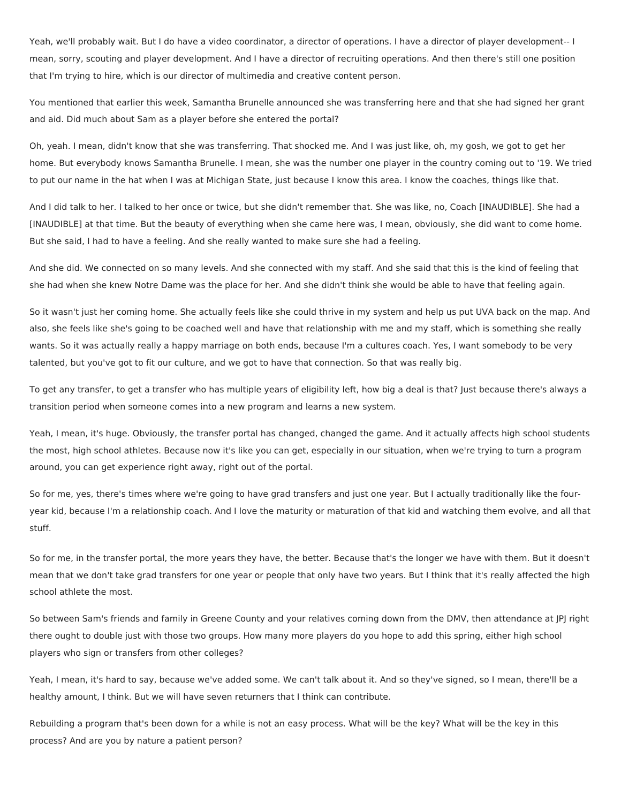Yeah, we'll probably wait. But I do have a video coordinator, a director of operations. I have a director of player development-- I mean, sorry, scouting and player development. And I have a director of recruiting operations. And then there's still one position that I'm trying to hire, which is our director of multimedia and creative content person.

You mentioned that earlier this week, Samantha Brunelle announced she was transferring here and that she had signed her grant and aid. Did much about Sam as a player before she entered the portal?

Oh, yeah. I mean, didn't know that she was transferring. That shocked me. And I was just like, oh, my gosh, we got to get her home. But everybody knows Samantha Brunelle. I mean, she was the number one player in the country coming out to '19. We tried to put our name in the hat when I was at Michigan State, just because I know this area. I know the coaches, things like that.

And I did talk to her. I talked to her once or twice, but she didn't remember that. She was like, no, Coach [INAUDIBLE]. She had a [INAUDIBLE] at that time. But the beauty of everything when she came here was, I mean, obviously, she did want to come home. But she said, I had to have a feeling. And she really wanted to make sure she had a feeling.

And she did. We connected on so many levels. And she connected with my staff. And she said that this is the kind of feeling that she had when she knew Notre Dame was the place for her. And she didn't think she would be able to have that feeling again.

So it wasn't just her coming home. She actually feels like she could thrive in my system and help us put UVA back on the map. And also, she feels like she's going to be coached well and have that relationship with me and my staff, which is something she really wants. So it was actually really a happy marriage on both ends, because I'm a cultures coach. Yes, I want somebody to be very talented, but you've got to fit our culture, and we got to have that connection. So that was really big.

To get any transfer, to get a transfer who has multiple years of eligibility left, how big a deal is that? Just because there's always a transition period when someone comes into a new program and learns a new system.

Yeah, I mean, it's huge. Obviously, the transfer portal has changed, changed the game. And it actually affects high school students the most, high school athletes. Because now it's like you can get, especially in our situation, when we're trying to turn a program around, you can get experience right away, right out of the portal.

So for me, yes, there's times where we're going to have grad transfers and just one year. But I actually traditionally like the fouryear kid, because I'm a relationship coach. And I love the maturity or maturation of that kid and watching them evolve, and all that stuff.

So for me, in the transfer portal, the more years they have, the better. Because that's the longer we have with them. But it doesn't mean that we don't take grad transfers for one year or people that only have two years. But I think that it's really affected the high school athlete the most.

So between Sam's friends and family in Greene County and your relatives coming down from the DMV, then attendance at JPJ right there ought to double just with those two groups. How many more players do you hope to add this spring, either high school players who sign or transfers from other colleges?

Yeah, I mean, it's hard to say, because we've added some. We can't talk about it. And so they've signed, so I mean, there'll be a healthy amount, I think. But we will have seven returners that I think can contribute.

Rebuilding a program that's been down for a while is not an easy process. What will be the key? What will be the key in this process? And are you by nature a patient person?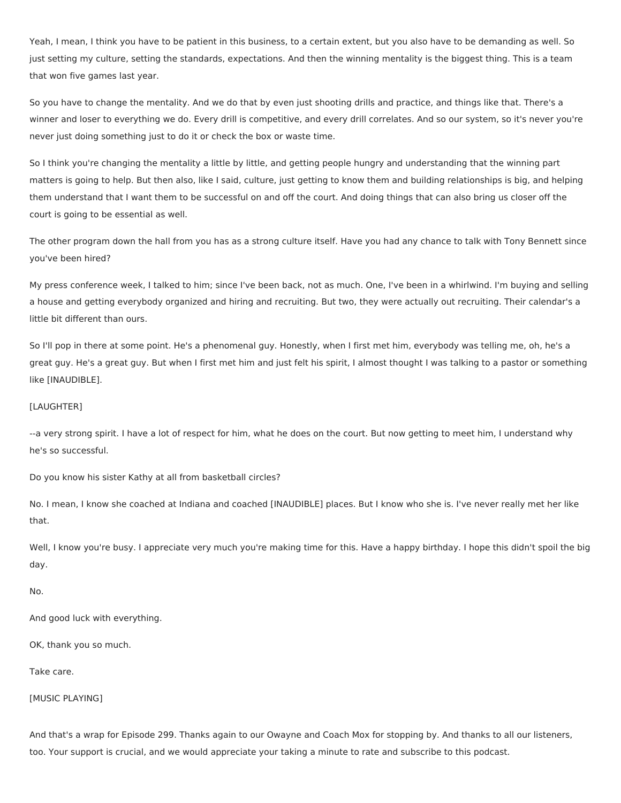Yeah, I mean, I think you have to be patient in this business, to a certain extent, but you also have to be demanding as well. So just setting my culture, setting the standards, expectations. And then the winning mentality is the biggest thing. This is a team that won five games last year.

So you have to change the mentality. And we do that by even just shooting drills and practice, and things like that. There's a winner and loser to everything we do. Every drill is competitive, and every drill correlates. And so our system, so it's never you're never just doing something just to do it or check the box or waste time.

So I think you're changing the mentality a little by little, and getting people hungry and understanding that the winning part matters is going to help. But then also, like I said, culture, just getting to know them and building relationships is big, and helping them understand that I want them to be successful on and off the court. And doing things that can also bring us closer off the court is going to be essential as well.

The other program down the hall from you has as a strong culture itself. Have you had any chance to talk with Tony Bennett since you've been hired?

My press conference week, I talked to him; since I've been back, not as much. One, I've been in a whirlwind. I'm buying and selling a house and getting everybody organized and hiring and recruiting. But two, they were actually out recruiting. Their calendar's a little bit different than ours.

So I'll pop in there at some point. He's a phenomenal guy. Honestly, when I first met him, everybody was telling me, oh, he's a great guy. He's a great guy. But when I first met him and just felt his spirit, I almost thought I was talking to a pastor or something like [INAUDIBLE].

# [LAUGHTER]

--a very strong spirit. I have a lot of respect for him, what he does on the court. But now getting to meet him, I understand why he's so successful.

Do you know his sister Kathy at all from basketball circles?

No. I mean, I know she coached at Indiana and coached [INAUDIBLE] places. But I know who she is. I've never really met her like that.

Well, I know you're busy. I appreciate very much you're making time for this. Have a happy birthday. I hope this didn't spoil the big day.

No.

And good luck with everything.

OK, thank you so much.

Take care.

[MUSIC PLAYING]

And that's a wrap for Episode 299. Thanks again to our Owayne and Coach Mox for stopping by. And thanks to all our listeners, too. Your support is crucial, and we would appreciate your taking a minute to rate and subscribe to this podcast.